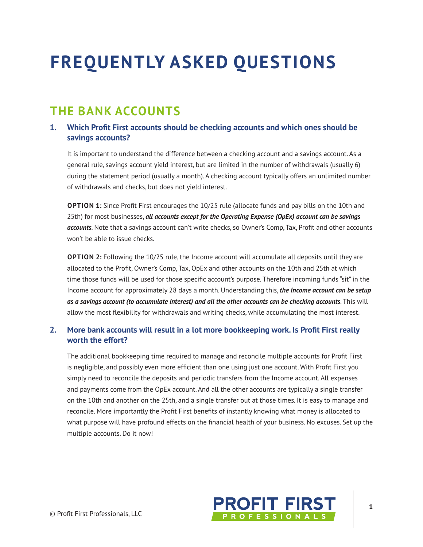# **FREQUENTLY ASKED QUESTIONS**

### **THE BANK ACCOUNTS**

### 1. Which Profit First accounts should be checking accounts and which ones should be savings accounts?

It is important to understand the difference between a checking account and a savings account. As a general rule, savings account yield interest, but are limited in the number of withdrawals (usually 6) during the statement period (usually a month). A checking account typically offers an unlimited number of withdrawals and checks, but does not yield interest.

**OPTION 1:** Since Profit First encourages the 10/25 rule (allocate funds and pay bills on the 10th and 25th) for most businesses, all accounts except for the Operating Expense (OpEx) account can be savings accounts. Note that a savings account can't write checks, so Owner's Comp, Tax, Profit and other accounts won't be able to issue checks.

**OPTION 2:** Following the 10/25 rule, the Income account will accumulate all deposits until they are allocated to the Profit, Owner's Comp, Tax, OpEx and other accounts on the 10th and 25th at which time those funds will be used for those specific account's purpose. Therefore incoming funds "sit" in the Income account for approximately 28 days a month. Understanding this, the Income account can be setup as a savings account (to accumulate interest) and all the other accounts can be checking accounts. This will allow the most flexibility for withdrawals and writing checks, while accumulating the most interest.

#### $2.$ More bank accounts will result in a lot more bookkeeping work. Is Profit First really worth the effort?

The additional bookkeeping time required to manage and reconcile multiple accounts for Profit First is negligible, and possibly even more efficient than one using just one account. With Profit First you simply need to reconcile the deposits and periodic transfers from the Income account. All expenses and payments come from the OpEx account. And all the other accounts are typically a single transfer on the 10th and another on the 25th, and a single transfer out at those times. It is easy to manage and reconcile. More importantly the Profit First benefits of instantly knowing what money is allocated to what purpose will have profound effects on the financial health of your business. No excuses. Set up the multiple accounts. Do it now!

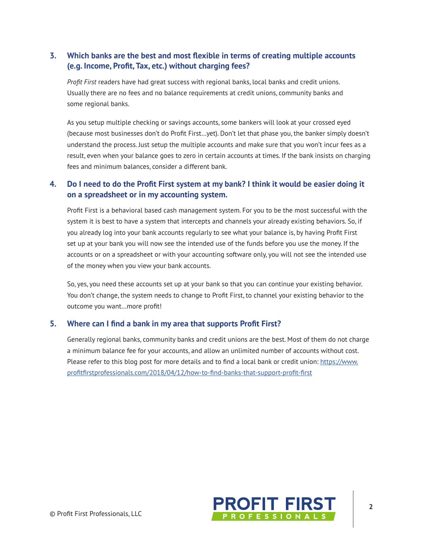### **3. Which banks are the best and most fexible in terms of creating multiple accounts (e.g. Income, Proft, Tax, etc.) without charging fees?**

*Proft First* readers have had great success with regional banks, local banks and credit unions. Usually there are no fees and no balance requirements at credit unions, community banks and some regional banks.

As you setup multiple checking or savings accounts, some bankers will look at your crossed eyed (because most businesses don't do Profit First...yet). Don't let that phase you, the banker simply doesn't understand the process. Just setup the multiple accounts and make sure that you won't incur fees as a result, even when your balance goes to zero in certain accounts at times. If the bank insists on charging fees and minimum balances, consider a different bank.

#### 4. Do I need to do the Profit First system at my bank? I think it would be easier doing it **on a spreadsheet or in my accounting system.**

Profit First is a behavioral based cash management system. For you to be the most successful with the system it is best to have a system that intercepts and channels your already existing behaviors. So, if you already log into your bank accounts regularly to see what your balance is, by having Profit First set up at your bank you will now see the intended use of the funds before you use the money. If the accounts or on a spreadsheet or with your accounting software only, you will not see the intended use of the money when you view your bank accounts.

So, yes, you need these accounts set up at your bank so that you can continue your existing behavior. You don't change, the system needs to change to Profit First, to channel your existing behavior to the outcome you want...more profit!

#### **5. Where can I fnd a bank in my area that supports Proft First?**

Generally regional banks, community banks and credit unions are the best. Most of them do not charge a minimum balance fee for your accounts, and allow an unlimited number of accounts without cost. Please refer to this blog post for more details and to find a local bank or credit union: https://www. profitfirstprofessionals.com/2018/04/12/how-to-find-banks-that-support-profit-first

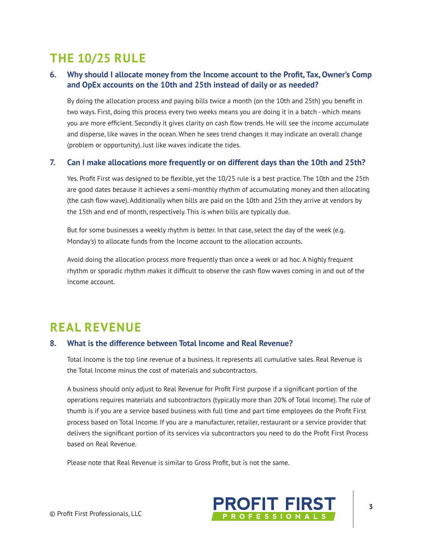# **THE 10/25 RULE**

#### 6. Why should I allocate money from the Income account to the Profit, Tax, Owner's Comp and OpEx accounts on the 10th and 25th instead of daily or as needed?

By doing the allocation process and paying bills twice a month (on the 10th and 25th) you benefit in two ways. First, doing this process every two weeks means you are doing it in a batch - which means you are more efficient. Secondly it gives clarity on cash flow trends. He will see the income accumulate and disperse, like waves in the ocean. When he sees trend changes it may indicate an overall change (problem or opportunity). Just like waves indicate the tides.

#### $7<sup>1</sup>$ Can I make allocations more frequently or on different days than the 10th and 25th?

Yes. Profit First was designed to be flexible, yet the 10/25 rule is a best practice. The 10th and the 25th are good dates because it achieves a semi-monthly rhythm of accumulating money and then allocating (the cash flow wave). Additionally when bills are paid on the 10th and 25th they arrive at vendors by the 15th and end of month, respectively. This is when bills are typically due.

But for some businesses a weekly rhythm is better. In that case, select the day of the week (e.g. Monday's) to allocate funds from the Income account to the allocation accounts.

Avoid doing the allocation process more frequently than once a week or ad hoc. A highly frequent rhythm or sporadic rhythm makes it difficult to observe the cash flow waves coming in and out of the Income account.

### **REAL REVENUE**

#### 8. What is the difference between Total Income and Real Revenue?

Total Income is the top line revenue of a business. It represents all cumulative sales. Real Revenue is the Total Income minus the cost of materials and subcontractors.

A business should only adjust to Real Revenue for Profit First purpose if a significant portion of the operations requires materials and subcontractors (typically more than 20% of Total Income). The rule of thumb is if you are a service based business with full time and part time employees do the Profit First process based on Total Income. If you are a manufacturer, retailer, restaurant or a service provider that delivers the significant portion of its services via subcontractors you need to do the Profit First Process based on Real Revenue.

Please note that Real Revenue is similar to Gross Profit, but is not the same.

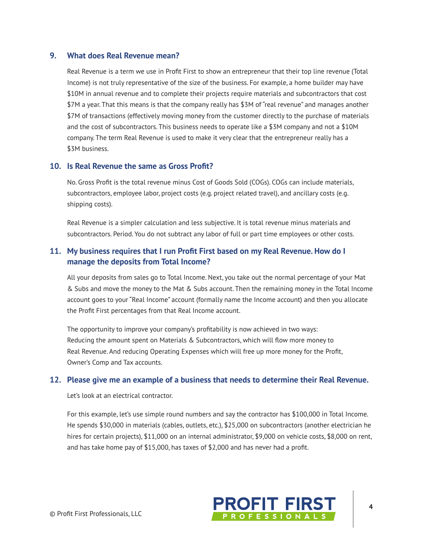#### 9. What does Real Revenue mean?

Real Revenue is a term we use in Profit First to show an entrepreneur that their top line revenue (Total Income) is not truly representative of the size of the business. For example, a home builder may have \$10M in annual revenue and to complete their projects require materials and subcontractors that cost \$7M a year. That this means is that the company really has \$3M of "real revenue" and manages another \$7M of transactions (effectively moving money from the customer directly to the purchase of materials and the cost of subcontractors. This business needs to operate like a \$3M company and not a \$10M company. The term Real Revenue is used to make it very clear that the entrepreneur really has a \$3M business.

#### 10. Is Real Revenue the same as Gross Profit?

No. Gross Profit is the total revenue minus Cost of Goods Sold (COGs). COGs can include materials, subcontractors, employee labor, project costs (e.g. project related travel), and ancillary costs (e.g. shipping costs).

Real Revenue is a simpler calculation and less subjective. It is total revenue minus materials and subcontractors. Period. You do not subtract any labor of full or part time employees or other costs.

#### 11. My business requires that I run Profit First based on my Real Revenue. How do I manage the deposits from Total Income?

All your deposits from sales go to Total Income. Next, you take out the normal percentage of your Mat & Subs and move the money to the Mat & Subs account. Then the remaining money in the Total Income account goes to your "Real Income" account (formally name the Income account) and then you allocate the Profit First percentages from that Real Income account.

The opportunity to improve your company's profitability is now achieved in two ways: Reducing the amount spent on Materials & Subcontractors, which will flow more money to Real Revenue. And reducing Operating Expenses which will free up more money for the Profit, Owner's Comp and Tax accounts.

#### 12. Please give me an example of a business that needs to determine their Real Revenue.

Let's look at an electrical contractor.

For this example, let's use simple round numbers and say the contractor has \$100,000 in Total Income. He spends \$30,000 in materials (cables, outlets, etc.), \$25,000 on subcontractors (another electrician he hires for certain projects), \$11,000 on an internal administrator, \$9,000 on vehicle costs, \$8,000 on rent, and has take home pay of \$15,000, has taxes of \$2,000 and has never had a profit.

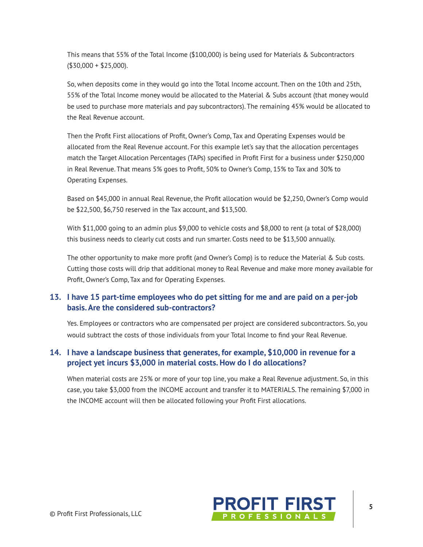This means that 55% of the Total Income (\$100,000) is being used for Materials & Subcontractors  $($30,000 + $25,000).$ 

So, when deposits come in they would go into the Total Income account. Then on the 10th and 25th, 55% of the Total Income money would be allocated to the Material & Subs account (that money would be used to purchase more materials and pay subcontractors). The remaining 45% would be allocated to the Real Revenue account.

Then the Profit First allocations of Profit, Owner's Comp, Tax and Operating Expenses would be allocated from the Real Revenue account. For this example let's say that the allocation percentages match the Target Allocation Percentages (TAPs) specified in Profit First for a business under \$250,000 in Real Revenue. That means 5% goes to Profit, 50% to Owner's Comp, 15% to Tax and 30% to Operating Expenses.

Based on \$45,000 in annual Real Revenue, the Profit allocation would be \$2,250, Owner's Comp would be \$22,500, \$6,750 reserved in the Tax account, and \$13,500.

With \$11,000 going to an admin plus \$9,000 to vehicle costs and \$8,000 to rent (a total of \$28,000) this business needs to clearly cut costs and run smarter. Costs need to be \$13,500 annually.

The other opportunity to make more profit (and Owner's Comp) is to reduce the Material & Sub costs. Cutting those costs will drip that additional money to Real Revenue and make more money available for Profit, Owner's Comp, Tax and for Operating Expenses.

#### 13. I have 15 part-time employees who do pet sitting for me and are paid on a per-job basis. Are the considered sub-contractors?

Yes. Employees or contractors who are compensated per project are considered subcontractors. So, you would subtract the costs of those individuals from your Total Income to find your Real Revenue.

#### 14. I have a landscape business that generates, for example, \$10,000 in revenue for a project yet incurs \$3,000 in material costs. How do I do allocations?

When material costs are 25% or more of your top line, you make a Real Revenue adjustment. So, in this case, you take \$3,000 from the INCOME account and transfer it to MATERIALS. The remaining \$7,000 in the INCOME account will then be allocated following your Profit First allocations.

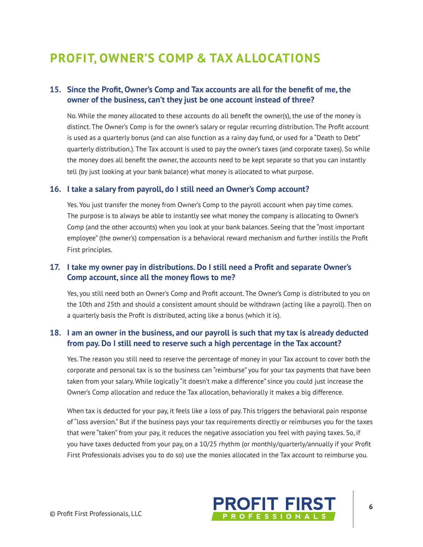# **PROFIT, OWNER'S COMP & TAX ALLOCATIONS**

#### 15. Since the Profit, Owner's Comp and Tax accounts are all for the benefit of me, the owner of the business, can't they just be one account instead of three?

No. While the money allocated to these accounts do all benefit the owner(s), the use of the money is distinct. The Owner's Comp is for the owner's salary or regular recurring distribution. The Profit account is used as a quarterly bonus (and can also function as a rainy day fund, or used for a "Death to Debt" quarterly distribution.). The Tax account is used to pay the owner's taxes (and corporate taxes). So while the money does all benefit the owner, the accounts need to be kept separate so that you can instantly tell (by just looking at your bank balance) what money is allocated to what purpose.

#### 16. I take a salary from payroll, do I still need an Owner's Comp account?

Yes. You just transfer the money from Owner's Comp to the payroll account when pay time comes. The purpose is to always be able to instantly see what money the company is allocating to Owner's Comp (and the other accounts) when you look at your bank balances. Seeing that the "most important employee" (the owner's) compensation is a behavioral reward mechanism and further instills the Profit First principles.

#### 17. I take my owner pay in distributions. Do I still need a Profit and separate Owner's Comp account, since all the money flows to me?

Yes, you still need both an Owner's Comp and Profit account. The Owner's Comp is distributed to you on the 10th and 25th and should a consistent amount should be withdrawn (acting like a payroll). Then on a quarterly basis the Profit is distributed, acting like a bonus (which it is).

#### 18. I am an owner in the business, and our payroll is such that my tax is already deducted from pay. Do I still need to reserve such a high percentage in the Tax account?

Yes. The reason you still need to reserve the percentage of money in your Tax account to cover both the corporate and personal tax is so the business can "reimburse" you for your tax payments that have been taken from your salary. While logically "it doesn't make a difference" since you could just increase the Owner's Comp allocation and reduce the Tax allocation, behaviorally it makes a big difference.

When tax is deducted for your pay, it feels like a loss of pay. This triggers the behavioral pain response of "loss aversion." But if the business pays your tax requirements directly or reimburses you for the taxes that were "taken" from your pay, it reduces the negative association you feel with paying taxes. So, if you have taxes deducted from your pay, on a 10/25 rhythm (or monthly/quarterly/annually if your Profit First Professionals advises you to do so) use the monies allocated in the Tax account to reimburse you.

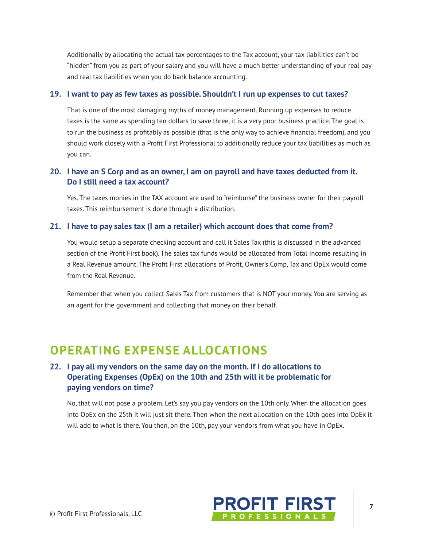Additionally by allocating the actual tax percentages to the Tax account, your tax liabilities can't be "hidden" from you as part of your salary and you will have a much better understanding of your real pay and real tax liabilities when you do bank balance accounting.

#### 19. I want to pay as few taxes as possible. Shouldn't I run up expenses to cut taxes?

That is one of the most damaging myths of money management. Running up expenses to reduce taxes is the same as spending ten dollars to save three, it is a very poor business practice. The goal is to run the business as profitably as possible (that is the only way to achieve financial freedom), and you should work closely with a Profit First Professional to additionally reduce your tax liabilities as much as vou can.

#### 20. I have an S Corp and as an owner, I am on payroll and have taxes deducted from it. Do I still need a tax account?

Yes. The taxes monies in the TAX account are used to "reimburse" the business owner for their payroll taxes. This reimbursement is done through a distribution.

#### 21. I have to pay sales tax (I am a retailer) which account does that come from?

You would setup a separate checking account and call it Sales Tax (this is discussed in the advanced section of the Profit First book). The sales tax funds would be allocated from Total Income resulting in a Real Revenue amount. The Profit First allocations of Profit, Owner's Comp, Tax and OpEx would come from the Real Revenue.

Remember that when you collect Sales Tax from customers that is NOT your money. You are serving as an agent for the government and collecting that money on their behalf.

### **OPERATING EXPENSE ALLOCATIONS**

#### 22. I pay all my vendors on the same day on the month. If I do allocations to Operating Expenses (OpEx) on the 10th and 25th will it be problematic for paying vendors on time?

No, that will not pose a problem. Let's say you pay vendors on the 10th only. When the allocation goes into OpEx on the 25th it will just sit there. Then when the next allocation on the 10th goes into OpEx it will add to what is there. You then, on the 10th, pay your vendors from what you have in OpEx.

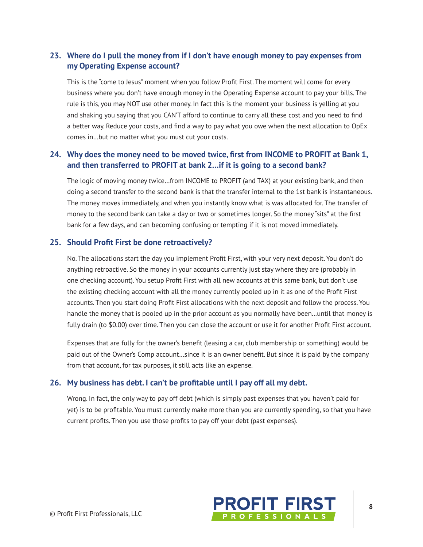### 23. Where do I pull the money from if I don't have enough money to pay expenses from my Operating Expense account?

This is the "come to Jesus" moment when you follow Profit First. The moment will come for every business where you don't have enough money in the Operating Expense account to pay your bills. The rule is this, you may NOT use other money. In fact this is the moment your business is yelling at you and shaking you saying that you CAN'T afford to continue to carry all these cost and you need to find a better way. Reduce your costs, and find a way to pay what you owe when the next allocation to OpEx comes in...but no matter what you must cut your costs.

#### 24. Why does the money need to be moved twice, first from INCOME to PROFIT at Bank 1, and then transferred to PROFIT at bank 2... if it is going to a second bank?

The logic of moving money twice...from INCOME to PROFIT (and TAX) at your existing bank, and then doing a second transfer to the second bank is that the transfer internal to the 1st bank is instantaneous. The money moves immediately, and when you instantly know what is was allocated for. The transfer of money to the second bank can take a day or two or sometimes longer. So the money "sits" at the first bank for a few days, and can becoming confusing or tempting if it is not moved immediately.

#### 25. Should Profit First be done retroactively?

No. The allocations start the day you implement Profit First, with your very next deposit. You don't do anything retroactive. So the money in your accounts currently just stay where they are (probably in one checking account). You setup Profit First with all new accounts at this same bank, but don't use the existing checking account with all the money currently pooled up in it as one of the Profit First accounts. Then you start doing Profit First allocations with the next deposit and follow the process. You handle the money that is pooled up in the prior account as you normally have been...until that money is fully drain (to \$0.00) over time. Then you can close the account or use it for another Profit First account.

Expenses that are fully for the owner's benefit (leasing a car, club membership or something) would be paid out of the Owner's Comp account...since it is an owner benefit. But since it is paid by the company from that account, for tax purposes, it still acts like an expense.

#### 26. My business has debt. I can't be profitable until I pay off all my debt.

Wrong. In fact, the only way to pay off debt (which is simply past expenses that you haven't paid for yet) is to be profitable. You must currently make more than you are currently spending, so that you have current profits. Then you use those profits to pay off your debt (past expenses).

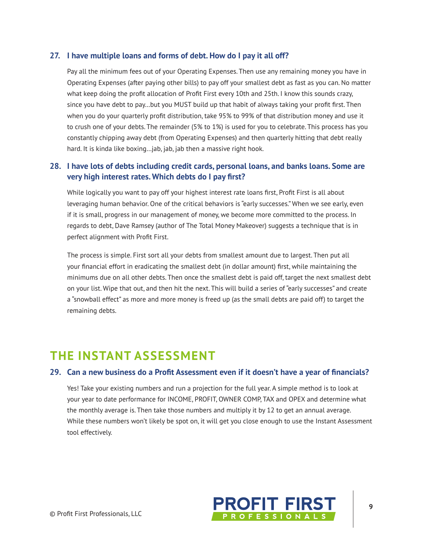#### 27. I have multiple loans and forms of debt. How do I pay it all off?

Pay all the minimum fees out of your Operating Expenses. Then use any remaining money you have in Operating Expenses (after paying other bills) to pay off your smallest debt as fast as you can. No matter what keep doing the profit allocation of Profit First every 10th and 25th. I know this sounds crazy, since you have debt to pay...but you MUST build up that habit of always taking your profit first. Then when you do your quarterly profit distribution, take 95% to 99% of that distribution money and use it to crush one of your debts. The remainder (5% to 1%) is used for you to celebrate. This process has you constantly chipping away debt (from Operating Expenses) and then quarterly hitting that debt really hard. It is kinda like boxing...jab, jab, jab then a massive right hook.

#### 28. I have lots of debts including credit cards, personal loans, and banks loans. Some are very high interest rates. Which debts do I pay first?

While logically you want to pay off your highest interest rate loans first, Profit First is all about leveraging human behavior. One of the critical behaviors is "early successes." When we see early, even if it is small, progress in our management of money, we become more committed to the process. In regards to debt, Dave Ramsey (author of The Total Money Makeover) suggests a technique that is in perfect alignment with Profit First.

The process is simple. First sort all your debts from smallest amount due to largest. Then put all your financial effort in eradicating the smallest debt (in dollar amount) first, while maintaining the minimums due on all other debts. Then once the smallest debt is paid off, target the next smallest debt on your list. Wipe that out, and then hit the next. This will build a series of "early successes" and create a "snowball effect" as more and more money is freed up (as the small debts are paid off) to target the remaining debts.

### **THE INSTANT ASSESSMENT**

#### 29. Can a new business do a Profit Assessment even if it doesn't have a year of financials?

Yes! Take your existing numbers and run a projection for the full year. A simple method is to look at your year to date performance for INCOME, PROFIT, OWNER COMP, TAX and OPEX and determine what the monthly average is. Then take those numbers and multiply it by 12 to get an annual average. While these numbers won't likely be spot on, it will get you close enough to use the Instant Assessment tool effectively.

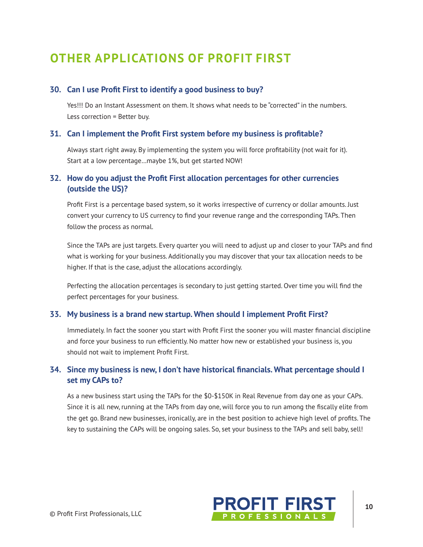# **OTHER APPLICATIONS OF PROFIT FIRST**

#### 30. Can I use Profit First to identify a good business to buy?

Yes!!! Do an Instant Assessment on them. It shows what needs to be "corrected" in the numbers. Less correction = Better buy.

#### 31. Can I implement the Profit First system before my business is profitable?

Always start right away. By implementing the system you will force profitability (not wait for it). Start at a low percentage...maybe 1%, but get started NOW!

#### 32. How do you adjust the Profit First allocation percentages for other currencies (outside the US)?

Profit First is a percentage based system, so it works irrespective of currency or dollar amounts. Just convert your currency to US currency to find your revenue range and the corresponding TAPs. Then follow the process as normal.

Since the TAPs are just targets. Every guarter you will need to adjust up and closer to your TAPs and find what is working for your business. Additionally you may discover that your tax allocation needs to be higher. If that is the case, adjust the allocations accordingly.

Perfecting the allocation percentages is secondary to just getting started. Over time you will find the perfect percentages for your business.

#### 33. My business is a brand new startup. When should I implement Profit First?

Immediately. In fact the sooner you start with Profit First the sooner you will master financial discipline and force your business to run efficiently. No matter how new or established your business is, you should not wait to implement Profit First.

#### 34. Since my business is new, I don't have historical financials. What percentage should I set my CAPs to?

As a new business start using the TAPs for the \$0-\$150K in Real Revenue from day one as your CAPs. Since it is all new, running at the TAPs from day one, will force you to run among the fiscally elite from the get go. Brand new businesses, ironically, are in the best position to achieve high level of profits. The key to sustaining the CAPs will be ongoing sales. So, set your business to the TAPs and sell baby, sell!